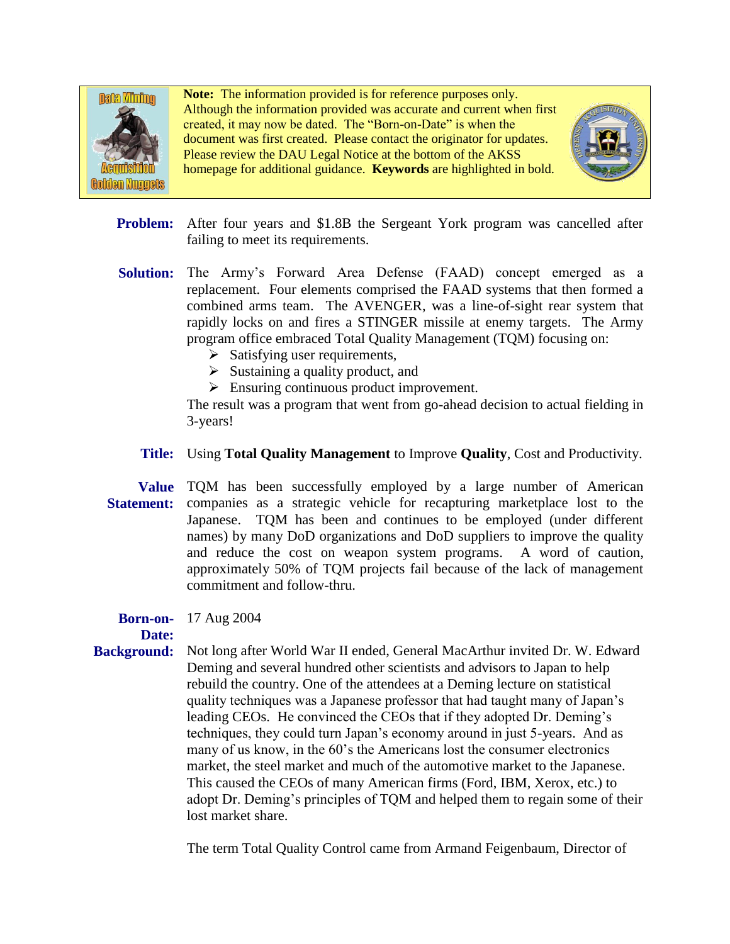

**Note:** The information provided is for reference purposes only. Although the information provided was accurate and current when first created, it may now be dated. The "Born-on-Date" is when the document was first created. Please contact the originator for updates. Please review the DAU Legal Notice at the bottom of the AKSS homepage for additional guidance. **Keywords** are highlighted in bold.



- Problem: After four years and \$1.8B the Sergeant York program was cancelled after failing to meet its requirements.
- **Solution:** The Army's Forward Area Defense (FAAD) concept emerged as a replacement. Four elements comprised the FAAD systems that then formed a combined arms team. The AVENGER, was a line-of-sight rear system that rapidly locks on and fires a STINGER missile at enemy targets. The Army program office embraced Total Quality Management (TQM) focusing on:
	- $\triangleright$  Satisfying user requirements,
	- $\triangleright$  Sustaining a quality product, and
	- $\triangleright$  Ensuring continuous product improvement.

The result was a program that went from go-ahead decision to actual fielding in 3-years!

**Title:** Using **Total Quality Management** to Improve **Quality**, Cost and Productivity.

**Value**  TQM has been successfully employed by a large number of American **Statement:** companies as a strategic vehicle for recapturing marketplace lost to the Japanese. TQM has been and continues to be employed (under different names) by many DoD organizations and DoD suppliers to improve the quality and reduce the cost on weapon system programs. A word of caution, approximately 50% of TQM projects fail because of the lack of management commitment and follow-thru.

**Born-on-**17 Aug 2004

## **Date:**

- 
- **Background:** Not long after World War II ended, General MacArthur invited Dr. W. Edward Deming and several hundred other scientists and advisors to Japan to help rebuild the country. One of the attendees at a Deming lecture on statistical quality techniques was a Japanese professor that had taught many of Japan's leading CEOs. He convinced the CEOs that if they adopted Dr. Deming's techniques, they could turn Japan's economy around in just 5-years. And as many of us know, in the 60's the Americans lost the consumer electronics market, the steel market and much of the automotive market to the Japanese. This caused the CEOs of many American firms (Ford, IBM, Xerox, etc.) to adopt Dr. Deming's principles of TQM and helped them to regain some of their lost market share.

The term Total Quality Control came from Armand Feigenbaum, Director of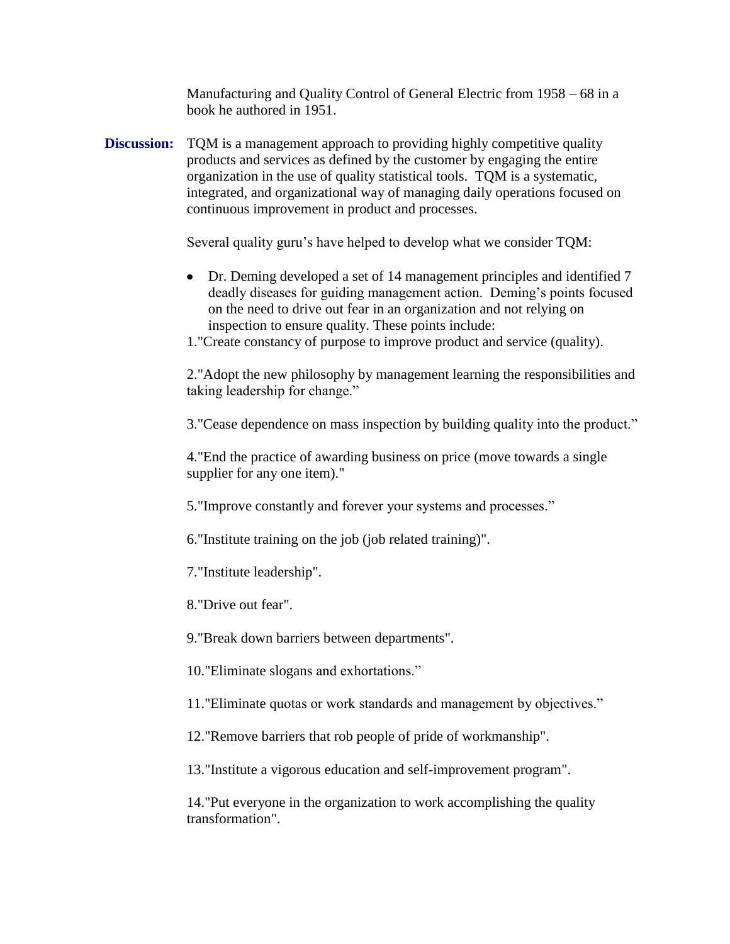Manufacturing and Quality Control of General Electric from 1958 – 68 in a book he authored in 1951.

**Discussion:** TQM is a management approach to providing highly competitive quality products and services as defined by the customer by engaging the entire organization in the use of quality statistical tools. TQM is a systematic, integrated, and organizational way of managing daily operations focused on continuous improvement in product and processes.

Several quality guru's have helped to develop what we consider TQM:

- Dr. Deming developed a set of 14 management principles and identified 7 deadly diseases for guiding management action. Deming's points focused on the need to drive out fear in an organization and not relying on inspection to ensure quality. These points include:
- 1."Create constancy of purpose to improve product and service (quality).

2."Adopt the new philosophy by management learning the responsibilities and taking leadership for change."

3."Cease dependence on mass inspection by building quality into the product."

4."End the practice of awarding business on price (move towards a single supplier for any one item)."

5."Improve constantly and forever your systems and processes."

6."Institute training on the job (job related training)".

7."Institute leadership".

8."Drive out fear".

9."Break down barriers between departments".

10."Eliminate slogans and exhortations."

11."Eliminate quotas or work standards and management by objectives."

12."Remove barriers that rob people of pride of workmanship".

13."Institute a vigorous education and self-improvement program".

14."Put everyone in the organization to work accomplishing the quality transformation".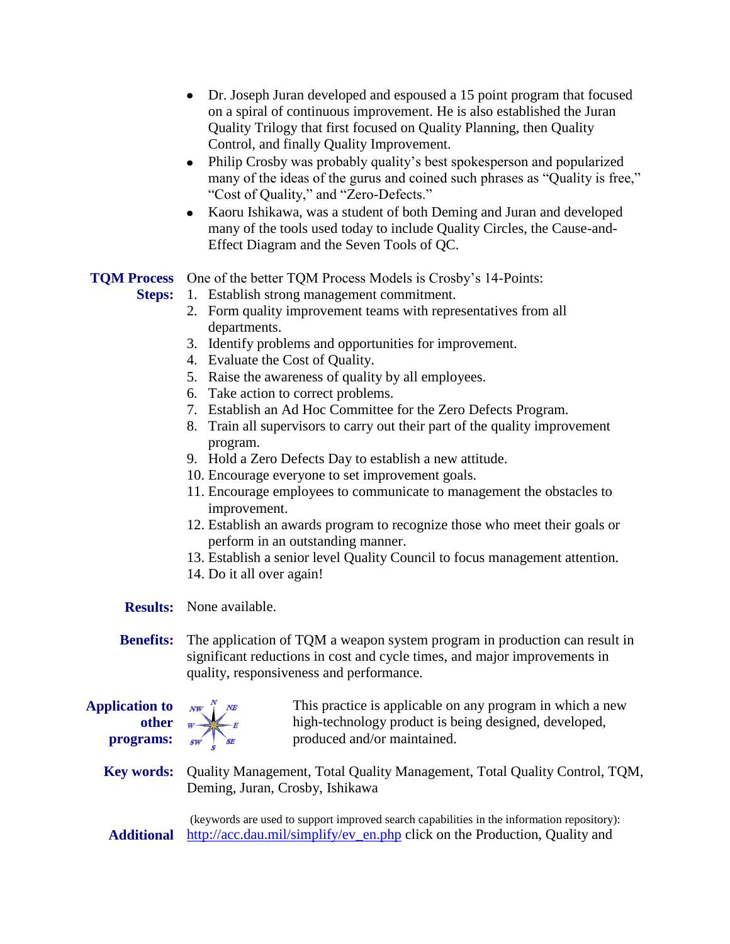- Dr. Joseph Juran developed and espoused a 15 point program that focused on a spiral of continuous improvement. He is also established the Juran Quality Trilogy that first focused on Quality Planning, then Quality Control, and finally Quality Improvement.
- Philip Crosby was probably quality's best spokesperson and popularized many of the ideas of the gurus and coined such phrases as "Quality is free," "Cost of Quality," and "Zero-Defects."
- Kaoru Ishikawa, was a student of both Deming and Juran and developed many of the tools used today to include Quality Circles, the Cause-and-Effect Diagram and the Seven Tools of QC.

**TQM Process**  One of the better TQM Process Models is Crosby's 14-Points:

- Steps: 1. Establish strong management commitment.
	- 2. Form quality improvement teams with representatives from all departments.
	- 3. Identify problems and opportunities for improvement.
	- 4. Evaluate the Cost of Quality.
	- 5. Raise the awareness of quality by all employees.
	- 6. Take action to correct problems.
	- 7. Establish an Ad Hoc Committee for the Zero Defects Program.
	- 8. Train all supervisors to carry out their part of the quality improvement program.
	- 9. Hold a Zero Defects Day to establish a new attitude.
	- 10. Encourage everyone to set improvement goals.
	- 11. Encourage employees to communicate to management the obstacles to improvement.
	- 12. Establish an awards program to recognize those who meet their goals or perform in an outstanding manner.
	- 13. Establish a senior level Quality Council to focus management attention.
	- 14. Do it all over again!

**Results:** None available.

**Benefits:** The application of TQM a weapon system program in production can result in significant reductions in cost and cycle times, and major improvements in quality, responsiveness and performance.

**Application to other programs:**



This practice is applicable on any program in which a new high-technology product is being designed, developed, produced and/or maintained.

**Key words:** Quality Management, Total Quality Management, Total Quality Control, TQM, Deming, Juran, Crosby, Ishikawa

(keywords are used to support improved search capabilities in the information repository): **Additional** [http://acc.dau.mil/simplify/ev\\_en.php](http://acc.dau.mil/simplify/ev_en.php) click on the Production, Quality and